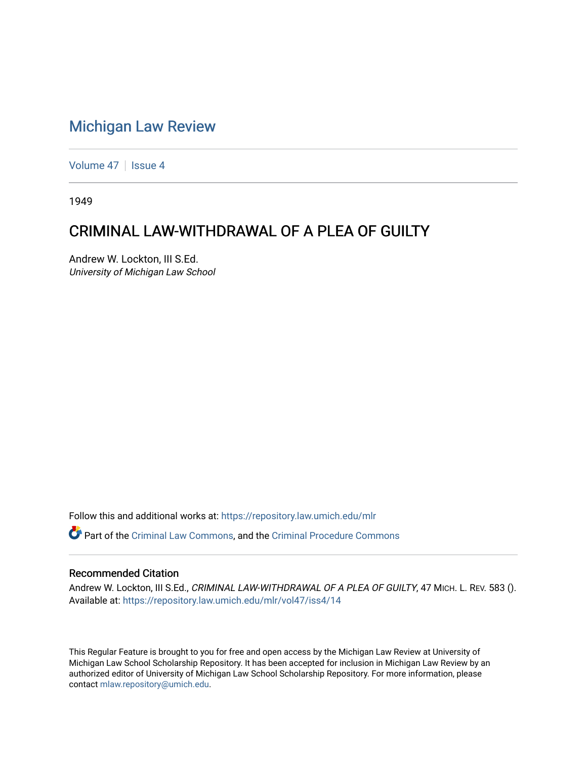## [Michigan Law Review](https://repository.law.umich.edu/mlr)

[Volume 47](https://repository.law.umich.edu/mlr/vol47) | [Issue 4](https://repository.law.umich.edu/mlr/vol47/iss4)

1949

## CRIMINAL LAW-WITHDRAWAL OF A PLEA OF GUILTY

Andrew W. Lockton, III S.Ed. University of Michigan Law School

Follow this and additional works at: [https://repository.law.umich.edu/mlr](https://repository.law.umich.edu/mlr?utm_source=repository.law.umich.edu%2Fmlr%2Fvol47%2Fiss4%2F14&utm_medium=PDF&utm_campaign=PDFCoverPages) 

Part of the [Criminal Law Commons,](http://network.bepress.com/hgg/discipline/912?utm_source=repository.law.umich.edu%2Fmlr%2Fvol47%2Fiss4%2F14&utm_medium=PDF&utm_campaign=PDFCoverPages) and the [Criminal Procedure Commons](http://network.bepress.com/hgg/discipline/1073?utm_source=repository.law.umich.edu%2Fmlr%2Fvol47%2Fiss4%2F14&utm_medium=PDF&utm_campaign=PDFCoverPages)

## Recommended Citation

Andrew W. Lockton, III S.Ed., CRIMINAL LAW-WITHDRAWAL OF A PLEA OF GUILTY, 47 MICH. L. REV. 583 (). Available at: [https://repository.law.umich.edu/mlr/vol47/iss4/14](https://repository.law.umich.edu/mlr/vol47/iss4/14?utm_source=repository.law.umich.edu%2Fmlr%2Fvol47%2Fiss4%2F14&utm_medium=PDF&utm_campaign=PDFCoverPages) 

This Regular Feature is brought to you for free and open access by the Michigan Law Review at University of Michigan Law School Scholarship Repository. It has been accepted for inclusion in Michigan Law Review by an authorized editor of University of Michigan Law School Scholarship Repository. For more information, please contact [mlaw.repository@umich.edu](mailto:mlaw.repository@umich.edu).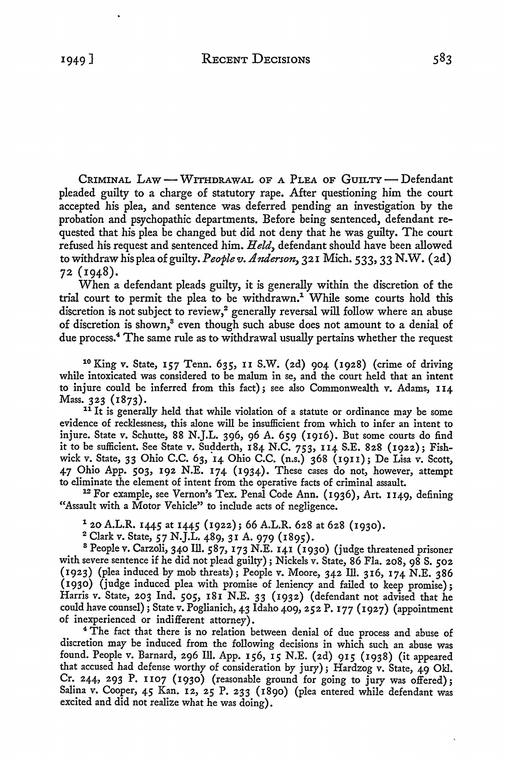CRIMINAL LAW - WITHDRAWAL OF A PLEA OF GUILTY - Defendant pleaded guilty to a charge of statutory rape. After questioning him the court accepted his plea, and sentence was deferred pending an investigation by the probation and psychopathic departments. Before being sentenced, defendant requested that his plea be changed but did not deny that he was guilty. The court refused his request and sentenced him. *Held,* defendant should have been allowed to withdraw *hispleaofguilty.Peoplev.Anderson,* 321 Mich. 533, 33 N.W. (2d) 72 (1948).

When a defendant pleads guilty, it is generally within the discretion of the trial court to permit the plea to be withdrawn.<sup>1</sup> While some courts hold this discretion is not subject to review,<sup>2</sup> generally reversal will follow where an abuse of discretion is shown,<sup>3</sup> even though such abuse does not amount to a denial of due process.4 The same rule as to withdrawal usually pertains whether the request

<sup>1</sup>° King v. State, 157 Tenn. 635, II S.W. (2d) 904 (1928) (crime of driving while intoxicated was considered to be malum in se, and the court held that an intent to injure could be inferred from this fact); see also Commonwealth v. Adams, 114 Mass. 323 (1873).

<sup>11</sup> It is generally held that while violation of a statute or ordinance may be some evidence of recklessness, this alone will be insufficient from which to infer an intent to injure. State v. Schutte, 88 N.J.L. 396, 96 A. 659 (1916). But some courts do find it to be sufficient. See State v. Sudderth,  $184$  N.C.  $753$ ,  $114$  S.E. 828 (1922); Fishwick v. State, 33 Ohio C.C. 63, 14 Ohio C.C. (n.s.) 368 (19u); De Lisa v. Scott, 47 Ohio App. 503, 192 N.E. 174 (1934). These cases do not, however, attempt to eliminate the element of intent from the operative facts of criminal assault.

<sup>12</sup> For example, see Vernon's Tex. Penal Code Ann. (1936), Art. 1149, defining "Assault with a Motor Vehicle" to include acts of negligence.

 $1$  20 A.L.R. 1445 at 1445 (1922); 66 A.L.R. 628 at 628 (1930).

2 Clark v. State, 57 N.J.L. 489, 31 A. 979 (1895).

<sup>8</sup> People v. Carzoli, 340 Ill. 587, 173 N.E. 141 (1930) (judge threatened prisoner with severe sentence if he did not plead guilty); Nickels v. State, 86 Fla. 208, 98 S. 502 (1923) (plea induced by mob threats); People v. Moore, 342 Ill. 316, 174 N.E. 386 (1930) (judge induced plea with promise of leniency and failed to keep promise); Harris v. State, 203 Ind. 505, 181 N.E. 33 (1932) (defendant not advised that he could have counsel); State v. Poglianich, 43 Idaho 409, 252 P. 177 (1927) (appointment of inexperienced or indifferent attorney).

<sup>4</sup> The fact that there is no relation between denial of due process and abuse of discretion may be induced from the following decisions in which such an abuse was found. People v. Barnard, 296 Ill. App. 156, 15 N.E. (2d) 915 (1938) (it appeared that accused had defense worthy of consideration by jury); Hardzog v. State, 49 Okl. Cr. 244, 293 P. 1107 (1930) (reasonable ground for going to jury was offered); Salina v. Cooper, 45 Kan. 12, 25 P. 233 (1890) (plea entered while defendant was excited and did not realize what he was doing).